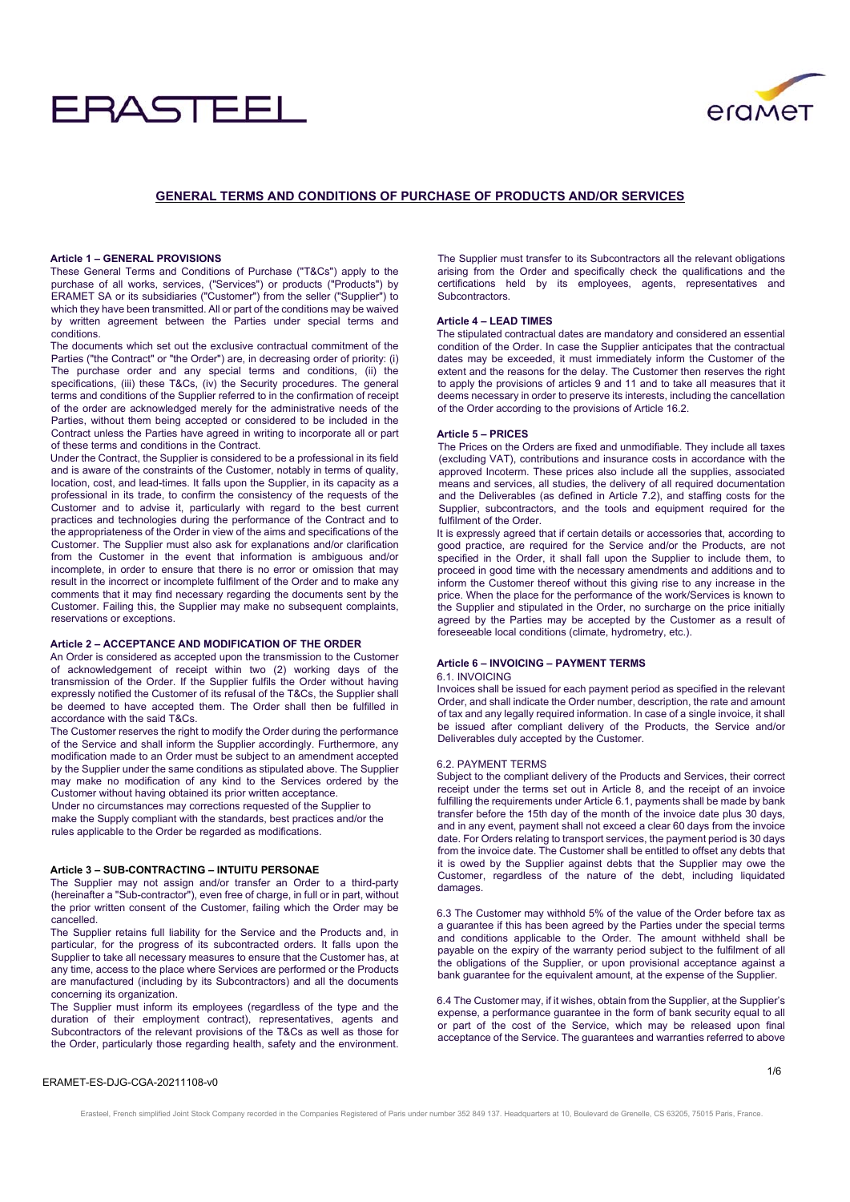# **RASTEFL**



# **GENERAL TERMS AND CONDITIONS OF PURCHASE OF PRODUCTS AND/OR SERVICES**

# **Article 1 – GENERAL PROVISIONS**

These General Terms and Conditions of Purchase ("T&Cs") apply to the purchase of all works, services, ("Services") or products ("Products") by ERAMET SA or its subsidiaries ("Customer") from the seller ("Supplier") to which they have been transmitted. All or part of the conditions may be waived by written agreement between the Parties under special terms and conditions.

The documents which set out the exclusive contractual commitment of the Parties ("the Contract" or "the Order") are, in decreasing order of priority: (i) The purchase order and any special terms and conditions, (ii) the specifications, (iii) these T&Cs, (iv) the Security procedures. The general terms and conditions of the Supplier referred to in the confirmation of receipt of the order are acknowledged merely for the administrative needs of the Parties, without them being accepted or considered to be included in the Contract unless the Parties have agreed in writing to incorporate all or part of these terms and conditions in the Contract.

Under the Contract, the Supplier is considered to be a professional in its field and is aware of the constraints of the Customer, notably in terms of quality, location, cost, and lead-times. It falls upon the Supplier, in its capacity as a professional in its trade, to confirm the consistency of the requests of the Customer and to advise it, particularly with regard to the best current practices and technologies during the performance of the Contract and to the appropriateness of the Order in view of the aims and specifications of the Customer. The Supplier must also ask for explanations and/or clarification from the Customer in the event that information is ambiguous and/or incomplete, in order to ensure that there is no error or omission that may result in the incorrect or incomplete fulfilment of the Order and to make any comments that it may find necessary regarding the documents sent by the Customer. Failing this, the Supplier may make no subsequent complaints, reservations or exceptions.

#### **Article 2 – ACCEPTANCE AND MODIFICATION OF THE ORDER**

An Order is considered as accepted upon the transmission to the Customer of acknowledgement of receipt within two (2) working days of the transmission of the Order. If the Supplier fulfils the Order without having expressly notified the Customer of its refusal of the T&Cs, the Supplier shall be deemed to have accepted them. The Order shall then be fulfilled in accordance with the said T&Cs.

The Customer reserves the right to modify the Order during the performance of the Service and shall inform the Supplier accordingly. Furthermore, any modification made to an Order must be subject to an amendment accepted by the Supplier under the same conditions as stipulated above. The Supplier may make no modification of any kind to the Services ordered by the Customer without having obtained its prior written acceptance.

Under no circumstances may corrections requested of the Supplier to make the Supply compliant with the standards, best practices and/or the rules applicable to the Order be regarded as modifications.

# **Article 3 – SUB-CONTRACTING – INTUITU PERSONAE**

The Supplier may not assign and/or transfer an Order to a third-party (hereinafter a "Sub-contractor"), even free of charge, in full or in part, without the prior written consent of the Customer, failing which the Order may be cancelled.

The Supplier retains full liability for the Service and the Products and, in particular, for the progress of its subcontracted orders. It falls upon the Supplier to take all necessary measures to ensure that the Customer has, at any time, access to the place where Services are performed or the Products are manufactured (including by its Subcontractors) and all the documents concerning its organization.

The Supplier must inform its employees (regardless of the type and the duration of their employment contract), representatives, agents and Subcontractors of the relevant provisions of the T&Cs as well as those for the Order, particularly those regarding health, safety and the environment.

The Supplier must transfer to its Subcontractors all the relevant obligations arising from the Order and specifically check the qualifications and the certifications held by its employees, agents, representatives and Subcontractors.

# **Article 4 – LEAD TIMES**

The stipulated contractual dates are mandatory and considered an essential condition of the Order. In case the Supplier anticipates that the contractual dates may be exceeded, it must immediately inform the Customer of the extent and the reasons for the delay. The Customer then reserves the right to apply the provisions of articles 9 and 11 and to take all measures that it deems necessary in order to preserve its interests, including the cancellation of the Order according to the provisions of Article 16.2.

# **Article 5 – PRICES**

The Prices on the Orders are fixed and unmodifiable. They include all taxes (excluding VAT), contributions and insurance costs in accordance with the approved Incoterm. These prices also include all the supplies, associated means and services, all studies, the delivery of all required documentation and the Deliverables (as defined in Article 7.2), and staffing costs for the Supplier, subcontractors, and the tools and equipment required for the fulfilment of the Order.

It is expressly agreed that if certain details or accessories that, according to good practice, are required for the Service and/or the Products, are not specified in the Order, it shall fall upon the Supplier to include them, to proceed in good time with the necessary amendments and additions and to inform the Customer thereof without this giving rise to any increase in the price. When the place for the performance of the work/Services is known to the Supplier and stipulated in the Order, no surcharge on the price initially agreed by the Parties may be accepted by the Customer as a result of foreseeable local conditions (climate, hydrometry, etc.).

#### **Article 6 – INVOICING – PAYMENT TERMS**

#### 6.1. INVOICING

Invoices shall be issued for each payment period as specified in the relevant Order, and shall indicate the Order number, description, the rate and amount of tax and any legally required information. In case of a single invoice, it shall be issued after compliant delivery of the Products, the Service and/or Deliverables duly accepted by the Customer.

#### 6.2. PAYMENT TERMS

Subject to the compliant delivery of the Products and Services, their correct receipt under the terms set out in Article 8, and the receipt of an invoice fulfilling the requirements under Article 6.1, payments shall be made by bank transfer before the 15th day of the month of the invoice date plus 30 days, and in any event, payment shall not exceed a clear 60 days from the invoice date. For Orders relating to transport services, the payment period is 30 days from the invoice date. The Customer shall be entitled to offset any debts that it is owed by the Supplier against debts that the Supplier may owe the Customer, regardless of the nature of the debt, including liquidated damages.

6.3 The Customer may withhold 5% of the value of the Order before tax as a guarantee if this has been agreed by the Parties under the special terms and conditions applicable to the Order. The amount withheld shall be payable on the expiry of the warranty period subject to the fulfilment of all the obligations of the Supplier, or upon provisional acceptance against a bank guarantee for the equivalent amount, at the expense of the Supplier.

6.4 The Customer may, if it wishes, obtain from the Supplier, at the Supplier's expense, a performance guarantee in the form of bank security equal to all or part of the cost of the Service, which may be released upon final acceptance of the Service. The guarantees and warranties referred to above

# ERAMET-ES-DJG-CGA-20211108-v0

Erasteel, French simplified Joint Stock Company recorded in the Companies Registered of Paris under number 352 849 137. Headquarters at 10, Boulevard de Grenelle, CS 63205, 75015 Paris, France.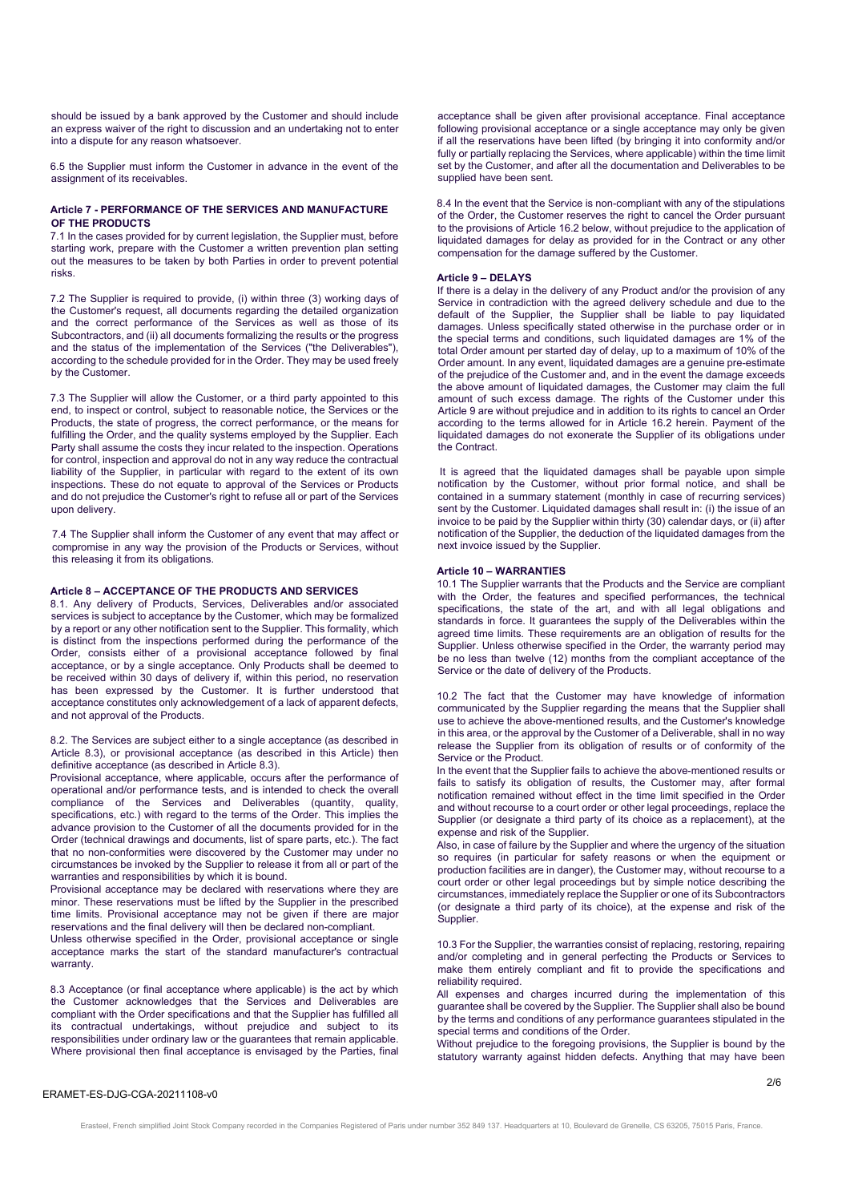should be issued by a bank approved by the Customer and should include an express waiver of the right to discussion and an undertaking not to enter into a dispute for any reason whatsoever.

6.5 the Supplier must inform the Customer in advance in the event of the assignment of its receivables.

# **Article 7 - PERFORMANCE OF THE SERVICES AND MANUFACTURE OF THE PRODUCTS**

7.1 In the cases provided for by current legislation, the Supplier must, before starting work, prepare with the Customer a written prevention plan setting out the measures to be taken by both Parties in order to prevent potential risks.

7.2 The Supplier is required to provide, (i) within three (3) working days of the Customer's request, all documents regarding the detailed organization and the correct performance of the Services as well as those of its Subcontractors, and (ii) all documents formalizing the results or the progress and the status of the implementation of the Services ("the Deliverables"), according to the schedule provided for in the Order. They may be used freely by the Customer.

7.3 The Supplier will allow the Customer, or a third party appointed to this end, to inspect or control, subject to reasonable notice, the Services or the Products, the state of progress, the correct performance, or the means for fulfilling the Order, and the quality systems employed by the Supplier. Each Party shall assume the costs they incur related to the inspection. Operations for control, inspection and approval do not in any way reduce the contractual liability of the Supplier, in particular with regard to the extent of its own inspections. These do not equate to approval of the Services or Products and do not prejudice the Customer's right to refuse all or part of the Services upon delivery.

7.4 The Supplier shall inform the Customer of any event that may affect or compromise in any way the provision of the Products or Services, without this releasing it from its obligations.

# **Article 8 – ACCEPTANCE OF THE PRODUCTS AND SERVICES**

8.1. Any delivery of Products, Services, Deliverables and/or associated services is subject to acceptance by the Customer, which may be formalized by a report or any other notification sent to the Supplier. This formality, which is distinct from the inspections performed during the performance of the Order, consists either of a provisional acceptance followed by final acceptance, or by a single acceptance. Only Products shall be deemed to be received within 30 days of delivery if, within this period, no reservation has been expressed by the Customer. It is further understood that acceptance constitutes only acknowledgement of a lack of apparent defects, and not approval of the Products.

8.2. The Services are subject either to a single acceptance (as described in Article 8.3), or provisional acceptance (as described in this Article) then definitive acceptance (as described in Article 8.3).

Provisional acceptance, where applicable, occurs after the performance of operational and/or performance tests, and is intended to check the overall compliance of the Services and Deliverables (quantity, quality, specifications, etc.) with regard to the terms of the Order. This implies the advance provision to the Customer of all the documents provided for in the Order (technical drawings and documents, list of spare parts, etc.). The fact that no non-conformities were discovered by the Customer may under no circumstances be invoked by the Supplier to release it from all or part of the warranties and responsibilities by which it is bound.

Provisional acceptance may be declared with reservations where they are minor. These reservations must be lifted by the Supplier in the prescribed time limits. Provisional acceptance may not be given if there are major reservations and the final delivery will then be declared non-compliant.

Unless otherwise specified in the Order, provisional acceptance or single acceptance marks the start of the standard manufacturer's contractual warranty.

8.3 Acceptance (or final acceptance where applicable) is the act by which the Customer acknowledges that the Services and Deliverables are compliant with the Order specifications and that the Supplier has fulfilled all its contractual undertakings, without prejudice and subject to its responsibilities under ordinary law or the guarantees that remain applicable. Where provisional then final acceptance is envisaged by the Parties, final

acceptance shall be given after provisional acceptance. Final acceptance following provisional acceptance or a single acceptance may only be given if all the reservations have been lifted (by bringing it into conformity and/or fully or partially replacing the Services, where applicable) within the time limit set by the Customer, and after all the documentation and Deliverables to be supplied have been sent.

8.4 In the event that the Service is non-compliant with any of the stipulations of the Order, the Customer reserves the right to cancel the Order pursuant to the provisions of Article 16.2 below, without prejudice to the application of liquidated damages for delay as provided for in the Contract or any other compensation for the damage suffered by the Customer.

#### **Article 9 – DELAYS**

If there is a delay in the delivery of any Product and/or the provision of any Service in contradiction with the agreed delivery schedule and due to the default of the Supplier, the Supplier shall be liable to pay liquidated damages. Unless specifically stated otherwise in the purchase order or in the special terms and conditions, such liquidated damages are 1% of the total Order amount per started day of delay, up to a maximum of 10% of the Order amount. In any event, liquidated damages are a genuine pre-estimate of the prejudice of the Customer and, and in the event the damage exceeds the above amount of liquidated damages, the Customer may claim the full amount of such excess damage. The rights of the Customer under this Article 9 are without prejudice and in addition to its rights to cancel an Order according to the terms allowed for in Article 16.2 herein. Payment of the liquidated damages do not exonerate the Supplier of its obligations under the Contract.

 It is agreed that the liquidated damages shall be payable upon simple notification by the Customer, without prior formal notice, and shall be contained in a summary statement (monthly in case of recurring services) sent by the Customer. Liquidated damages shall result in: (i) the issue of an invoice to be paid by the Supplier within thirty (30) calendar days, or (ii) after notification of the Supplier, the deduction of the liquidated damages from the next invoice issued by the Supplier.

#### **Article 10 – WARRANTIES**

10.1 The Supplier warrants that the Products and the Service are compliant with the Order, the features and specified performances, the technical specifications, the state of the art, and with all legal obligations and standards in force. It guarantees the supply of the Deliverables within the agreed time limits. These requirements are an obligation of results for the Supplier. Unless otherwise specified in the Order, the warranty period may be no less than twelve (12) months from the compliant acceptance of the Service or the date of delivery of the Products.

10.2 The fact that the Customer may have knowledge of information communicated by the Supplier regarding the means that the Supplier shall use to achieve the above-mentioned results, and the Customer's knowledge in this area, or the approval by the Customer of a Deliverable, shall in no way release the Supplier from its obligation of results or of conformity of the Service or the Product.

In the event that the Supplier fails to achieve the above-mentioned results or fails to satisfy its obligation of results, the Customer may, after formal notification remained without effect in the time limit specified in the Order and without recourse to a court order or other legal proceedings, replace the Supplier (or designate a third party of its choice as a replacement), at the expense and risk of the Supplier.

Also, in case of failure by the Supplier and where the urgency of the situation so requires (in particular for safety reasons or when the equipment or production facilities are in danger), the Customer may, without recourse to a court order or other legal proceedings but by simple notice describing the circumstances, immediately replace the Supplier or one of its Subcontractors (or designate a third party of its choice), at the expense and risk of the **Supplier** 

10.3 For the Supplier, the warranties consist of replacing, restoring, repairing and/or completing and in general perfecting the Products or Services to make them entirely compliant and fit to provide the specifications and reliability required.

All expenses and charges incurred during the implementation of this guarantee shall be covered by the Supplier. The Supplier shall also be bound by the terms and conditions of any performance guarantees stipulated in the special terms and conditions of the Order.

Without prejudice to the foregoing provisions, the Supplier is bound by the statutory warranty against hidden defects. Anything that may have been

# ERAMET-ES-DJG-CGA-20211108-v0

Erasteel, French simplified Joint Stock Company recorded in the Companies Registered of Paris under number 352 849 137. Headquarters at 10, Boulevard de Grenelle, CS 63205, 75015 Paris, France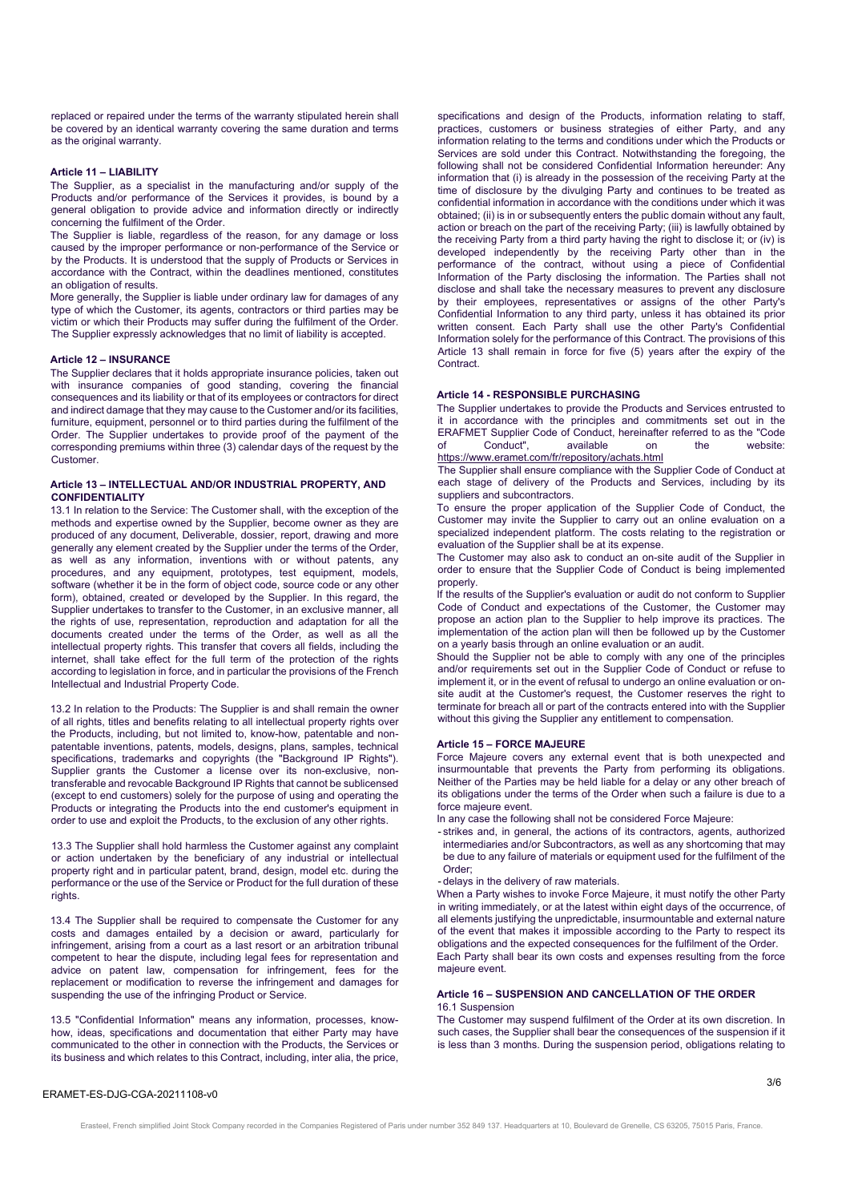replaced or repaired under the terms of the warranty stipulated herein shall be covered by an identical warranty covering the same duration and terms as the original warranty.

#### **Article 11 – LIABILITY**

The Supplier, as a specialist in the manufacturing and/or supply of the Products and/or performance of the Services it provides, is bound by a general obligation to provide advice and information directly or indirectly concerning the fulfilment of the Order.

The Supplier is liable, regardless of the reason, for any damage or loss caused by the improper performance or non-performance of the Service or by the Products. It is understood that the supply of Products or Services in accordance with the Contract, within the deadlines mentioned, constitutes an obligation of results.

More generally, the Supplier is liable under ordinary law for damages of any type of which the Customer, its agents, contractors or third parties may be victim or which their Products may suffer during the fulfilment of the Order. The Supplier expressly acknowledges that no limit of liability is accepted.

#### **Article 12 – INSURANCE**

The Supplier declares that it holds appropriate insurance policies, taken out with insurance companies of good standing, covering the financial consequences and its liability or that of its employees or contractors for direct and indirect damage that they may cause to the Customer and/or its facilities, furniture, equipment, personnel or to third parties during the fulfilment of the Order. The Supplier undertakes to provide proof of the payment of the corresponding premiums within three (3) calendar days of the request by the Customer.

#### **Article 13 – INTELLECTUAL AND/OR INDUSTRIAL PROPERTY, AND CONFIDENTIALITY**

13.1 In relation to the Service: The Customer shall, with the exception of the methods and expertise owned by the Supplier, become owner as they are produced of any document, Deliverable, dossier, report, drawing and more generally any element created by the Supplier under the terms of the Order, as well as any information, inventions with or without patents, any procedures, and any equipment, prototypes, test equipment, models, software (whether it be in the form of object code, source code or any other form), obtained, created or developed by the Supplier. In this regard, the Supplier undertakes to transfer to the Customer, in an exclusive manner, all the rights of use, representation, reproduction and adaptation for all the documents created under the terms of the Order, as well as all the intellectual property rights. This transfer that covers all fields, including the internet, shall take effect for the full term of the protection of the rights according to legislation in force, and in particular the provisions of the French Intellectual and Industrial Property Code.

13.2 In relation to the Products: The Supplier is and shall remain the owner of all rights, titles and benefits relating to all intellectual property rights over the Products, including, but not limited to, know-how, patentable and nonpatentable inventions, patents, models, designs, plans, samples, technical specifications, trademarks and copyrights (the "Background IP Rights"). Supplier grants the Customer a license over its non-exclusive, nontransferable and revocable Background IP Rights that cannot be sublicensed (except to end customers) solely for the purpose of using and operating the Products or integrating the Products into the end customer's equipment in order to use and exploit the Products, to the exclusion of any other rights.

13.3 The Supplier shall hold harmless the Customer against any complaint or action undertaken by the beneficiary of any industrial or intellectual property right and in particular patent, brand, design, model etc. during the performance or the use of the Service or Product for the full duration of these rights

13.4 The Supplier shall be required to compensate the Customer for any costs and damages entailed by a decision or award, particularly for infringement, arising from a court as a last resort or an arbitration tribunal competent to hear the dispute, including legal fees for representation and advice on patent law, compensation for infringement, fees for the replacement or modification to reverse the infringement and damages for suspending the use of the infringing Product or Service.

13.5 "Confidential Information" means any information, processes, knowhow, ideas, specifications and documentation that either Party may have communicated to the other in connection with the Products, the Services or its business and which relates to this Contract, including, inter alia, the price,

specifications and design of the Products, information relating to staff, practices, customers or business strategies of either Party, and any information relating to the terms and conditions under which the Products or Services are sold under this Contract. Notwithstanding the foregoing, the following shall not be considered Confidential Information hereunder: Any information that (i) is already in the possession of the receiving Party at the time of disclosure by the divulging Party and continues to be treated as confidential information in accordance with the conditions under which it was obtained; (ii) is in or subsequently enters the public domain without any fault, action or breach on the part of the receiving Party; (iii) is lawfully obtained by the receiving Party from a third party having the right to disclose it; or (iv) is developed independently by the receiving Party other than in the performance of the contract, without using a piece of Confidential Information of the Party disclosing the information. The Parties shall not disclose and shall take the necessary measures to prevent any disclosure by their employees, representatives or assigns of the other Party's Confidential Information to any third party, unless it has obtained its prior written consent. Each Party shall use the other Party's Confidential Information solely for the performance of this Contract. The provisions of this Article 13 shall remain in force for five (5) years after the expiry of the **Contract** 

#### **Article 14 - RESPONSIBLE PURCHASING**

The Supplier undertakes to provide the Products and Services entrusted to it in accordance with the principles and commitments set out in the ERAFMET Supplier Code of Conduct, hereinafter referred to as the "Code<br>of Conduct" available on the website available on https://www.eramet.com/fr/repository/achats.html

The Supplier shall ensure compliance with the Supplier Code of Conduct at each stage of delivery of the Products and Services, including by its suppliers and subcontractors.

To ensure the proper application of the Supplier Code of Conduct, the Customer may invite the Supplier to carry out an online evaluation on a specialized independent platform. The costs relating to the registration or evaluation of the Supplier shall be at its expense.

The Customer may also ask to conduct an on-site audit of the Supplier in order to ensure that the Supplier Code of Conduct is being implemented properly.

If the results of the Supplier's evaluation or audit do not conform to Supplier Code of Conduct and expectations of the Customer, the Customer may propose an action plan to the Supplier to help improve its practices. The implementation of the action plan will then be followed up by the Customer on a yearly basis through an online evaluation or an audit.

Should the Supplier not be able to comply with any one of the principles and/or requirements set out in the Supplier Code of Conduct or refuse to implement it, or in the event of refusal to undergo an online evaluation or onsite audit at the Customer's request, the Customer reserves the right to terminate for breach all or part of the contracts entered into with the Supplier without this giving the Supplier any entitlement to compensation.

#### **Article 15 – FORCE MAJEURE**

Force Majeure covers any external event that is both unexpected and insurmountable that prevents the Party from performing its obligations. Neither of the Parties may be held liable for a delay or any other breach of its obligations under the terms of the Order when such a failure is due to a force majeure event.

In any case the following shall not be considered Force Majeure:

- strikes and, in general, the actions of its contractors, agents, authorized intermediaries and/or Subcontractors, as well as any shortcoming that may be due to any failure of materials or equipment used for the fulfilment of the Order;
- delays in the delivery of raw materials.

When a Party wishes to invoke Force Majeure, it must notify the other Party in writing immediately, or at the latest within eight days of the occurrence, of all elements justifying the unpredictable, insurmountable and external nature of the event that makes it impossible according to the Party to respect its obligations and the expected consequences for the fulfilment of the Order. Each Party shall bear its own costs and expenses resulting from the force majeure event.

# **Article 16 – SUSPENSION AND CANCELLATION OF THE ORDER**  16.1 Suspension

The Customer may suspend fulfilment of the Order at its own discretion. In such cases, the Supplier shall bear the consequences of the suspension if it is less than 3 months. During the suspension period, obligations relating to

# ERAMET-ES-DJG-CGA-20211108-v0

Erasteel, French simplified Joint Stock Company recorded in the Companies Registered of Paris under number 352 849 137. Headquarters at 10, Boulevard de Grenelle, CS 63205, 75015 Paris, France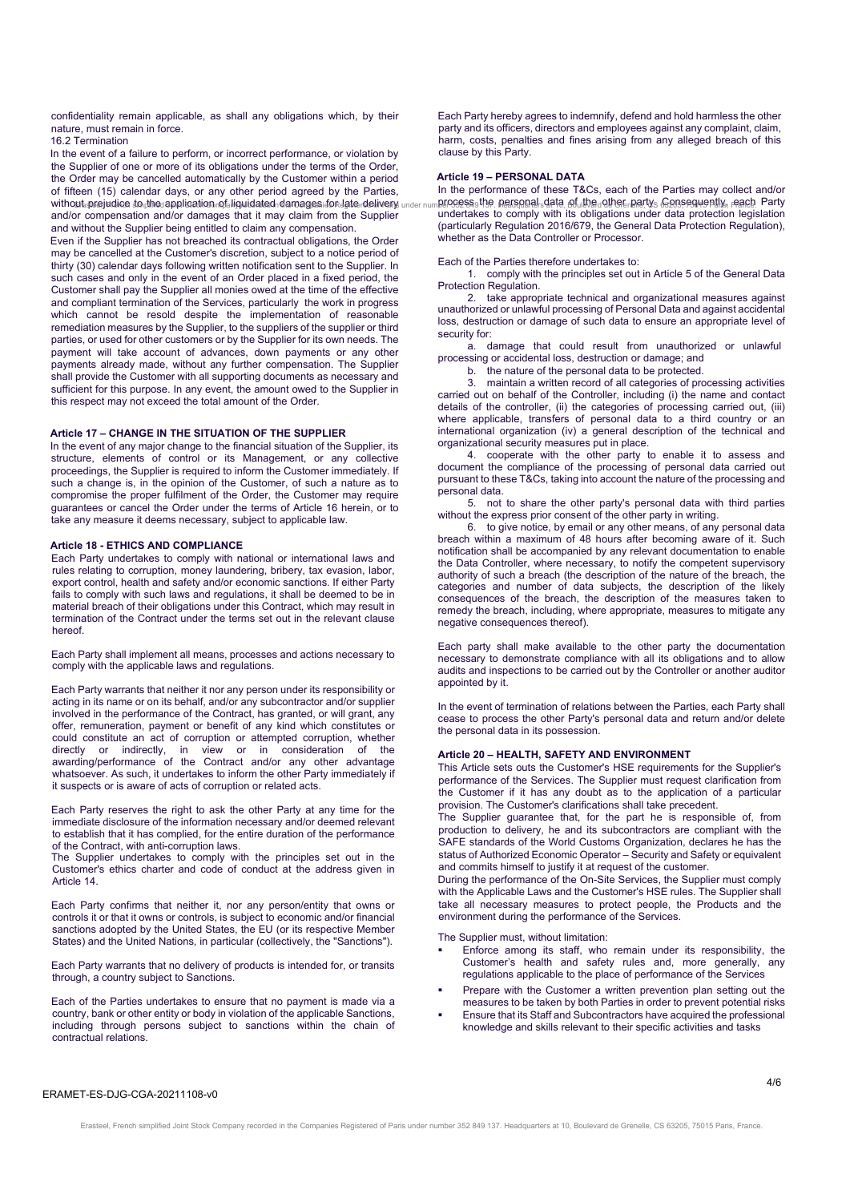confidentiality remain applicable, as shall any obligations which, by their nature, must remain in force.

16.2 Termination

In the event of a failure to perform, or incorrect performance, or violation by the Supplier of one or more of its obligations under the terms of the Order, the Order may be cancelled automatically by the Customer within a period of fifteen (15) calendar days, or any other period agreed by the Parties, without prejudice to the application of liquidated damages for late delivery and/or compensation and/or damages that it may claim from the Supplier and without the Supplier being entitled to claim any compensation.

Even if the Supplier has not breached its contractual obligations, the Order may be cancelled at the Customer's discretion, subject to a notice period of thirty (30) calendar days following written notification sent to the Supplier. In such cases and only in the event of an Order placed in a fixed period, the Customer shall pay the Supplier all monies owed at the time of the effective and compliant termination of the Services, particularly the work in progress which cannot be resold despite the implementation of reasonable remediation measures by the Supplier, to the suppliers of the supplier or third parties, or used for other customers or by the Supplier for its own needs. The payment will take account of advances, down payments or any other payments already made, without any further compensation. The Supplier shall provide the Customer with all supporting documents as necessary and sufficient for this purpose. In any event, the amount owed to the Supplier in this respect may not exceed the total amount of the Order.

# **Article 17 – CHANGE IN THE SITUATION OF THE SUPPLIER**

In the event of any major change to the financial situation of the Supplier, its structure, elements of control or its Management, or any collective proceedings, the Supplier is required to inform the Customer immediately. If such a change is, in the opinion of the Customer, of such a nature as to compromise the proper fulfilment of the Order, the Customer may require guarantees or cancel the Order under the terms of Article 16 herein, or to take any measure it deems necessary, subject to applicable law.

#### **Article 18 - ETHICS AND COMPLIANCE**

Each Party undertakes to comply with national or international laws and rules relating to corruption, money laundering, bribery, tax evasion, labor, export control, health and safety and/or economic sanctions. If either Party fails to comply with such laws and regulations, it shall be deemed to be in material breach of their obligations under this Contract, which may result in termination of the Contract under the terms set out in the relevant clause hereof.

Each Party shall implement all means, processes and actions necessary to comply with the applicable laws and regulations.

Each Party warrants that neither it nor any person under its responsibility or acting in its name or on its behalf, and/or any subcontractor and/or supplier involved in the performance of the Contract, has granted, or will grant, any offer, remuneration, payment or benefit of any kind which constitutes or could constitute an act of corruption or attempted corruption, whether directly or indirectly, in view or in consideration of the awarding/performance of the Contract and/or any other advantage whatsoever. As such, it undertakes to inform the other Party immediately if it suspects or is aware of acts of corruption or related acts.

Each Party reserves the right to ask the other Party at any time for the immediate disclosure of the information necessary and/or deemed relevant to establish that it has complied, for the entire duration of the performance of the Contract, with anti-corruption laws.

The Supplier undertakes to comply with the principles set out in the Customer's ethics charter and code of conduct at the address given in Article 14.

Each Party confirms that neither it, nor any person/entity that owns or controls it or that it owns or controls, is subject to economic and/or financial sanctions adopted by the United States, the EU (or its respective Member States) and the United Nations, in particular (collectively, the "Sanctions").

Each Party warrants that no delivery of products is intended for, or transits through, a country subject to Sanctions.

Each of the Parties undertakes to ensure that no payment is made via a country, bank or other entity or body in violation of the applicable Sanctions, including through persons subject to sanctions within the chain of contractual relations.

Each Party hereby agrees to indemnify, defend and hold harmless the other party and its officers, directors and employees against any complaint, claim, harm, costs, penalties and fines arising from any alleged breach of this clause by this Party.

# **Article 19 – PERSONAL DATA**

In the performance of these T&Cs, each of the Parties may collect and/or process the personal data of the other party. Consequently, each Party ଏକେଡୋଏଉଡେ ଉର୍ଯାହାରକାହାରେଅଏଉନ୍ୟୋମ୍ୟାୟେଥେ ଏକଠାରୁଛେ।ଏହାରୁ ନେଇୋଏକନ୍/ under numb⊌୬୬୭୭୨ଏ୨୭. Makavalitalsଏ୧ଏ, ଆଧାରାୟଏଏ ଏକୋଇଡା ଏକେ ଅଓ୬୭୨।ଏହାଏନ୍ ନିକାରା, ୮୩.ଏ<br>Dr compensation and/or damages that it may claim from the Supplier und (particularly Regulation 2016/679, the General Data Protection Regulation), whether as the Data Controller or Processor.

#### Each of the Parties therefore undertakes to:

1. comply with the principles set out in Article 5 of the General Data Protection Regulation.

2. take appropriate technical and organizational measures against unauthorized or unlawful processing of Personal Data and against accidental loss, destruction or damage of such data to ensure an appropriate level of security for:

a. damage that could result from unauthorized or unlawful processing or accidental loss, destruction or damage; and

# b. the nature of the personal data to be protected.

3. maintain a written record of all categories of processing activities carried out on behalf of the Controller, including (i) the name and contact details of the controller, (ii) the categories of processing carried out, (iii) where applicable, transfers of personal data to a third country or an international organization (iv) a general description of the technical and organizational security measures put in place.

4. cooperate with the other party to enable it to assess and document the compliance of the processing of personal data carried out pursuant to these T&Cs, taking into account the nature of the processing and personal data.

5. not to share the other party's personal data with third parties without the express prior consent of the other party in writing.

6. to give notice, by email or any other means, of any personal data breach within a maximum of 48 hours after becoming aware of it. Such notification shall be accompanied by any relevant documentation to enable the Data Controller, where necessary, to notify the competent supervisory authority of such a breach (the description of the nature of the breach, the categories and number of data subjects, the description of the likely consequences of the breach, the description of the measures taken to remedy the breach, including, where appropriate, measures to mitigate any negative consequences thereof).

Each party shall make available to the other party the documentation necessary to demonstrate compliance with all its obligations and to allow audits and inspections to be carried out by the Controller or another auditor appointed by it.

In the event of termination of relations between the Parties, each Party shall cease to process the other Party's personal data and return and/or delete the personal data in its possession.

# **Article 20 – HEALTH, SAFETY AND ENVIRONMENT**

This Article sets outs the Customer's HSE requirements for the Supplier's performance of the Services. The Supplier must request clarification from the Customer if it has any doubt as to the application of a particular provision. The Customer's clarifications shall take precedent.

The Supplier guarantee that, for the part he is responsible of, from production to delivery, he and its subcontractors are compliant with the SAFE standards of the World Customs Organization, declares he has the status of Authorized Economic Operator – Security and Safety or equivalent and commits himself to justify it at request of the customer.

During the performance of the On-Site Services, the Supplier must comply with the Applicable Laws and the Customer's HSE rules. The Supplier shall take all necessary measures to protect people, the Products and the environment during the performance of the Services.

#### The Supplier must, without limitation:

- Enforce among its staff, who remain under its responsibility, the Customer's health and safety rules and, more generally, any regulations applicable to the place of performance of the Services
- Prepare with the Customer a written prevention plan setting out the measures to be taken by both Parties in order to prevent potential risks
- Ensure that its Staff and Subcontractors have acquired the professional knowledge and skills relevant to their specific activities and tasks

#### ERAMET-ES-DJG-CGA-20211108-v0

Erasteel, French simplified Joint Stock Company recorded in the Companies Registered of Paris under number 352 849 137. Headquarters at 10, Boulevard de Grenelle, CS 63205, 75015 Paris, France.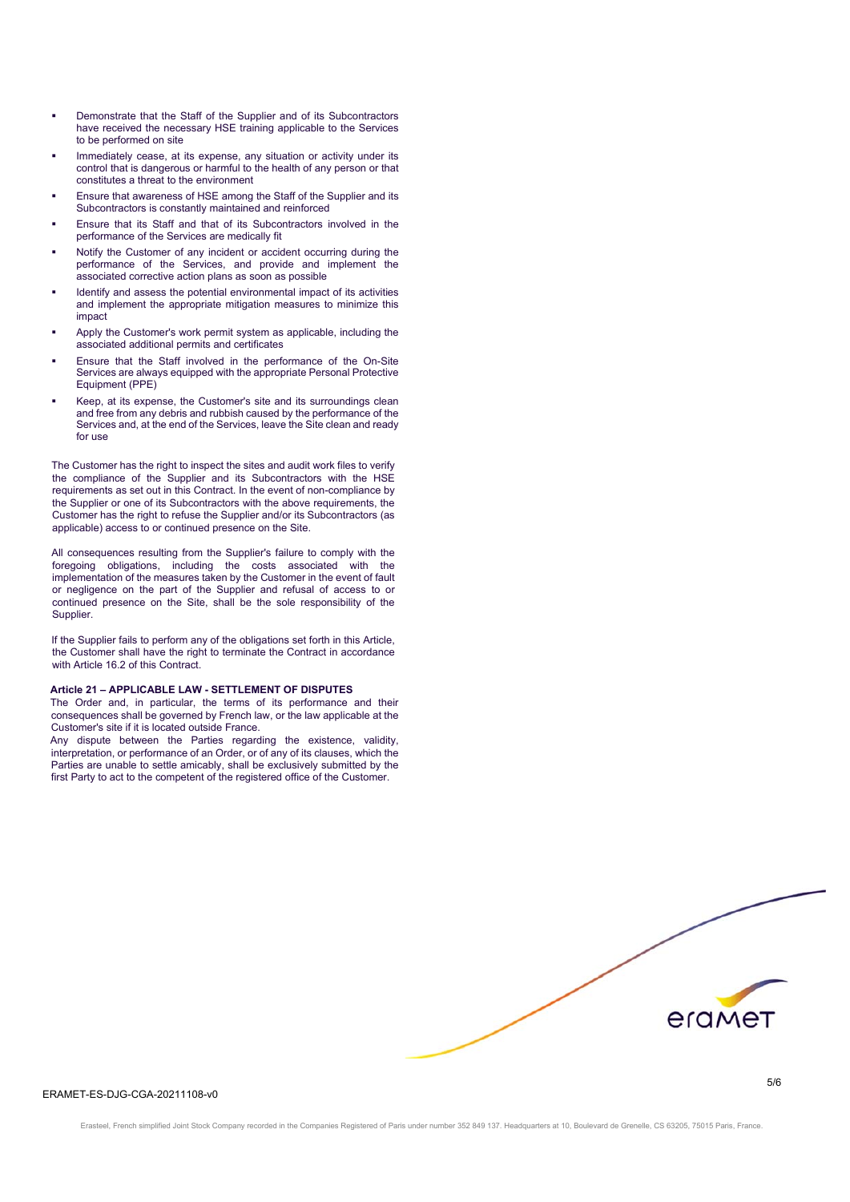- Demonstrate that the Staff of the Supplier and of its Subcontractors have received the necessary HSE training applicable to the Services to be performed on site
- Immediately cease, at its expense, any situation or activity under its control that is dangerous or harmful to the health of any person or that constitutes a threat to the environment
- Ensure that awareness of HSE among the Staff of the Supplier and its Subcontractors is constantly maintained and reinforced
- Ensure that its Staff and that of its Subcontractors involved in the performance of the Services are medically fit
- Notify the Customer of any incident or accident occurring during the performance of the Services, and provide and implement the associated corrective action plans as soon as possible
- Identify and assess the potential environmental impact of its activities and implement the appropriate mitigation measures to minimize this impact
- Apply the Customer's work permit system as applicable, including the associated additional permits and certificates
- Ensure that the Staff involved in the performance of the On-Site Services are always equipped with the appropriate Personal Protective Equipment (PPE)
- Keep, at its expense, the Customer's site and its surroundings clean and free from any debris and rubbish caused by the performance of the Services and, at the end of the Services, leave the Site clean and ready for use

The Customer has the right to inspect the sites and audit work files to verify the compliance of the Supplier and its Subcontractors with the HSE requirements as set out in this Contract. In the event of non-compliance by the Supplier or one of its Subcontractors with the above requirements, the Customer has the right to refuse the Supplier and/or its Subcontractors (as applicable) access to or continued presence on the Site.

All consequences resulting from the Supplier's failure to comply with the foregoing obligations, including the costs associated with the implementation of the measures taken by the Customer in the event of fault or negligence on the part of the Supplier and refusal of access to or continued presence on the Site, shall be the sole responsibility of the Supplier.

If the Supplier fails to perform any of the obligations set forth in this Article, the Customer shall have the right to terminate the Contract in accordance with Article 16.2 of this Contract.

# **Article 21 – APPLICABLE LAW - SETTLEMENT OF DISPUTES**

The Order and, in particular, the terms of its performance and their consequences shall be governed by French law, or the law applicable at the Customer's site if it is located outside France.

Any dispute between the Parties regarding the existence, validity, interpretation, or performance of an Order, or of any of its clauses, which the Parties are unable to settle amicably, shall be exclusively submitted by the first Party to act to the competent of the registered office of the Customer.



# ERAMET-ES-DJG-CGA-20211108-v0

Erasteel, French simplified Joint Stock Company recorded in the Companies Registered of Paris under number 352 849 137. Headquarters at 10, Boulevard de Grenelle, CS 63205, 75015 Paris, France.